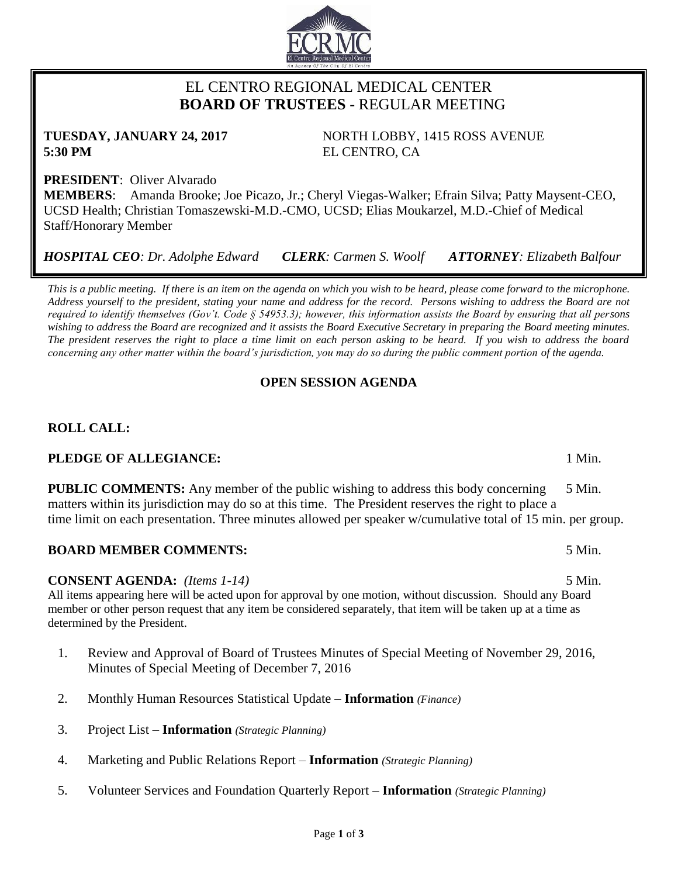# EL CENTRO REGIONAL MEDICAL CENTER  **BOARD OF TRUSTEES** - REGULAR MEETING

**TUESDAY, JANUARY 24, 2017** NORTH LOBBY, 1415 ROSS AVENUE **5:30 PM** EL CENTRO, CA

**PRESIDENT**: Oliver Alvarado **MEMBERS**: Amanda Brooke; Joe Picazo, Jr.; Cheryl Viegas-Walker; Efrain Silva; Patty Maysent-CEO, UCSD Health; Christian Tomaszewski-M.D.-CMO, UCSD; Elias Moukarzel, M.D.-Chief of Medical Staff/Honorary Member

*HOSPITAL CEO: Dr. Adolphe Edward CLERK: Carmen S. Woolf ATTORNEY: Elizabeth Balfour*

*This is a public meeting. If there is an item on the agenda on which you wish to be heard, please come forward to the microphone. Address yourself to the president, stating your name and address for the record. Persons wishing to address the Board are not required to identify themselves (Gov't. Code § 54953.3); however, this information assists the Board by ensuring that all persons wishing to address the Board are recognized and it assists the Board Executive Secretary in preparing the Board meeting minutes. The president reserves the right to place a time limit on each person asking to be heard. If you wish to address the board concerning any other matter within the board's jurisdiction, you may do so during the public comment portion of the agenda.*

# **OPEN SESSION AGENDA**

# **ROLL CALL:**

# **PLEDGE OF ALLEGIANCE:** 1 Min.

**PUBLIC COMMENTS:** Any member of the public wishing to address this body concerning 5 Min. matters within its jurisdiction may do so at this time. The President reserves the right to place a time limit on each presentation. Three minutes allowed per speaker w/cumulative total of 15 min. per group.

# **BOARD MEMBER COMMENTS:** 5 Min.

# **CONSENT AGENDA:** *(Items 1-14)* 5 Min.

All items appearing here will be acted upon for approval by one motion, without discussion. Should any Board member or other person request that any item be considered separately, that item will be taken up at a time as determined by the President.

- 1. Review and Approval of Board of Trustees Minutes of Special Meeting of November 29, 2016, Minutes of Special Meeting of December 7, 2016
- 2. Monthly Human Resources Statistical Update **Information** *(Finance)*
- 3. Project List **Information** *(Strategic Planning)*
- 4. Marketing and Public Relations Report **Information** *(Strategic Planning)*
- 5. Volunteer Services and Foundation Quarterly Report **Information** *(Strategic Planning)*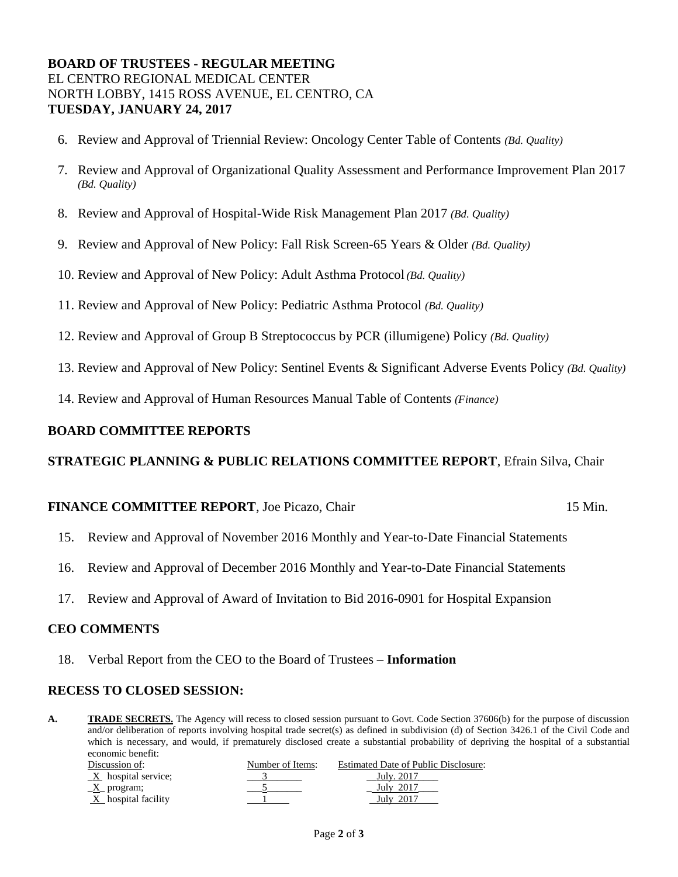## **BOARD OF TRUSTEES - REGULAR MEETING** EL CENTRO REGIONAL MEDICAL CENTER NORTH LOBBY, 1415 ROSS AVENUE, EL CENTRO, CA **TUESDAY, JANUARY 24, 2017**

- 6. Review and Approval of Triennial Review: Oncology Center Table of Contents *(Bd. Quality)*
- 7. Review and Approval of Organizational Quality Assessment and Performance Improvement Plan 2017 *(Bd. Quality)*
- 8. Review and Approval of Hospital-Wide Risk Management Plan 2017 *(Bd. Quality)*
- 9. Review and Approval of New Policy: Fall Risk Screen-65 Years & Older *(Bd. Quality)*
- 10. Review and Approval of New Policy: Adult Asthma Protocol *(Bd. Quality)*
- 11. Review and Approval of New Policy: Pediatric Asthma Protocol *(Bd. Quality)*
- 12. Review and Approval of Group B Streptococcus by PCR (illumigene) Policy *(Bd. Quality)*
- 13. Review and Approval of New Policy: Sentinel Events & Significant Adverse Events Policy *(Bd. Quality)*
- 14. Review and Approval of Human Resources Manual Table of Contents *(Finance)*

### **BOARD COMMITTEE REPORTS**

## **STRATEGIC PLANNING & PUBLIC RELATIONS COMMITTEE REPORT**, Efrain Silva, Chair

### **FINANCE COMMITTEE REPORT**, Joe Picazo, Chair 15 Min.

- 15. Review and Approval of November 2016 Monthly and Year-to-Date Financial Statements
- 16. Review and Approval of December 2016 Monthly and Year-to-Date Financial Statements
- 17. Review and Approval of Award of Invitation to Bid 2016-0901 for Hospital Expansion

### **CEO COMMENTS**

18. Verbal Report from the CEO to the Board of Trustees – **Information**

### **RECESS TO CLOSED SESSION:**

A. **TRADE SECRETS.** The Agency will recess to closed session pursuant to Govt. Code Section 37606(b) for the purpose of discussion and/or deliberation of reports involving hospital trade secret(s) as defined in subdivision (d) of Section 3426.1 of the Civil Code and which is necessary, and would, if prematurely disclosed create a substantial probability of depriving the hospital of a substantial economic benefit:

| Discussion of:                    | Number of Items: | Estimated Date of Public Disclosure: |
|-----------------------------------|------------------|--------------------------------------|
| $\underline{X}$ hospital service; |                  | July. 2017                           |
| $X$ program;                      |                  | July 2017                            |
| X hospital facility               |                  | July 2017                            |